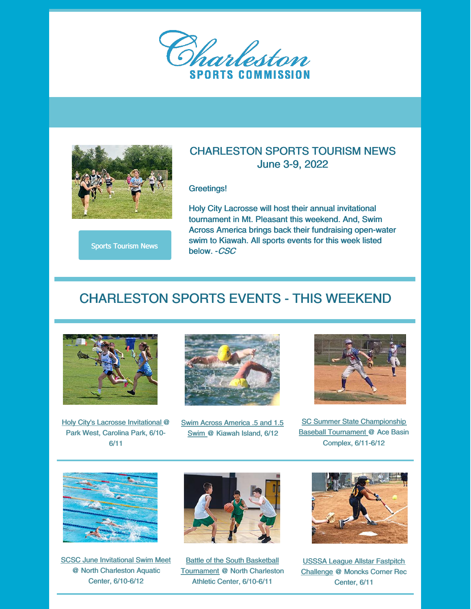



Sports Tourism News

# June 3-9, 2022

CHARLESTON SPORTS TOURISM NEWS

#### Greetings!

Holy City Lacrosse will host their annual invitational tournament in Mt. Pleasant this weekend. And, Swim Across America brings back their fundraising open-water swim to Kiawah. All sports events for this week listed below. -CSC

## CHARLESTON SPORTS EVENTS - THIS WEEKEND



Holy City's Lacrosse Invitational @ Park West, Carolina Park, 6/10- 6/11



Swim Across America .5 and 1.5 Swim @ Kiawah Island, 6/12



SC Summer State Championship Baseball Tournament @ Ace Basin Complex, 6/11-6/12



SCSC June Invitational Swim Meet @ North Charleston Aquatic Center, 6/10-6/12



Battle of the South Basketball Tournament @ North Charleston Athletic Center, 6/10-6/11



USSSA League Allstar Fastpitch Challenge @ Moncks Corner Rec Center, 6/11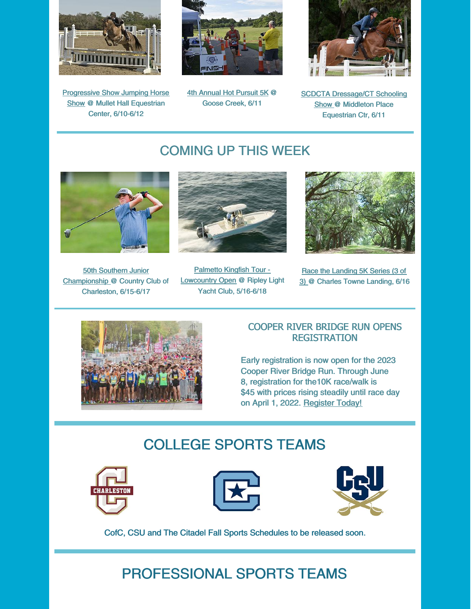

**Progressive Show Jumping Horse** Show @ Mullet Hall Equestrian Center, 6/10-6/12



4th Annual Hot Pursuit 5K @ Goose Creek, 6/11



SCDCTA Dressage/CT Schooling Show @ Middleton Place Equestrian Ctr, 6/11

### COMING UP THIS WEEK



50th Southern Junior Championship @ Country Club of Charleston, 6/15-6/17



Palmetto Kingfish Tour - **Lowcountry Open @ Ripley Light** Yacht Club, 5/16-6/18



Race the Landing 5K Series (3 of 3) @ Charles Towne Landing, 6/16



#### COOPER RIVER BRIDGE RUN OPENS REGISTRATION

Early registration is now open for the 2023 Cooper River Bridge Run. Through June 8, registration for the10K race/walk is \$45 with prices rising steadily until race day on April 1, 2022. Register Today!

## COLLEGE SPORTS TEAMS







CofC, CSU and The Citadel Fall Sports Schedules to be released soon.

# PROFESSIONAL SPORTS TEAMS